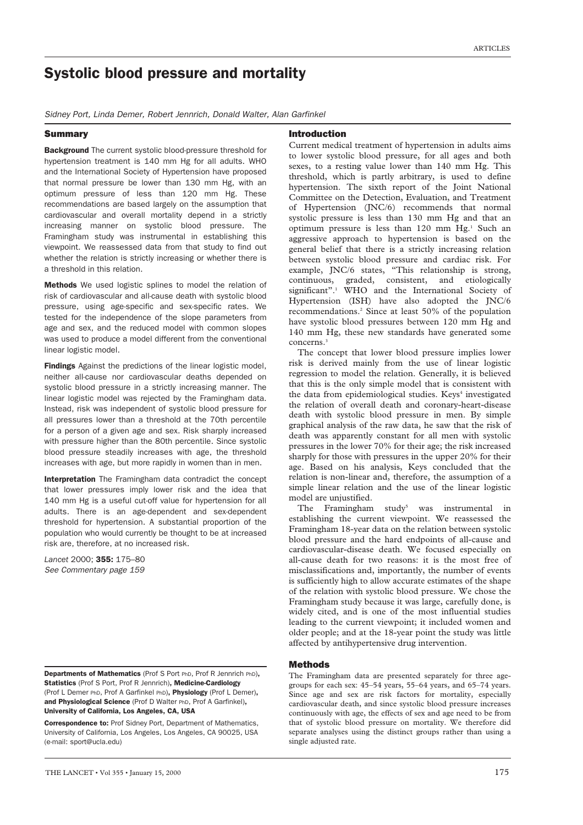# Systolic blood pressure and mortality

*Sidney Port, Linda Demer, Robert Jennrich, Donald Walter, Alan Garfinkel*

# **Summary**

# Introduction

Background The current systolic blood-pressure threshold for hypertension treatment is 140 mm Hg for all adults. WHO and the International Society of Hypertension have proposed that normal pressure be lower than 130 mm Hg, with an optimum pressure of less than 120 mm Hg. These recommendations are based largely on the assumption that cardiovascular and overall mortality depend in a strictly increasing manner on systolic blood pressure. The Framingham study was instrumental in establishing this viewpoint. We reassessed data from that study to find out whether the relation is strictly increasing or whether there is a threshold in this relation.

Methods We used logistic splines to model the relation of risk of cardiovascular and all-cause death with systolic blood pressure, using age-specific and sex-specific rates. We tested for the independence of the slope parameters from age and sex, and the reduced model with common slopes was used to produce a model different from the conventional linear logistic model.

Findings Against the predictions of the linear logistic model, neither all-cause nor cardiovascular deaths depended on systolic blood pressure in a strictly increasing manner. The linear logistic model was rejected by the Framingham data. Instead, risk was independent of systolic blood pressure for all pressures lower than a threshold at the 70th percentile for a person of a given age and sex. Risk sharply increased with pressure higher than the 80th percentile. Since systolic blood pressure steadily increases with age, the threshold increases with age, but more rapidly in women than in men.

Interpretation The Framingham data contradict the concept that lower pressures imply lower risk and the idea that 140 mm Hg is a useful cut-off value for hypertension for all adults. There is an age-dependent and sex-dependent threshold for hypertension. A substantial proportion of the population who would currently be thought to be at increased risk are, therefore, at no increased risk.

*Lancet* 2000; 355: 175–80 *See Commentary page 159*

Departments of Mathematics (Prof S Port PhD, Prof R Jennrich PhD), Statistics (Prof S Port, Prof R Jennrich), Medicine-Cardiology (Prof L Demer PhD, Prof A Garfinkel PhD), Physiology (Prof L Demer), and Physiological Science (Prof D Walter PhD, Prof A Garfinkel), University of California, Los Angeles, CA, USA

Correspondence to: Prof Sidney Port, Department of Mathematics, University of California, Los Angeles, Los Angeles, CA 90025, USA (e-mail: sport@ucla.edu)

Current medical treatment of hypertension in adults aims to lower systolic blood pressure, for all ages and both sexes, to a resting value lower than 140 mm Hg. This threshold, which is partly arbitrary, is used to define hypertension. The sixth report of the Joint National Committee on the Detection, Evaluation, and Treatment of Hypertension (JNC/6) recommends that normal systolic pressure is less than 130 mm Hg and that an optimum pressure is less than 120 mm Hg.<sup>1</sup> Such an aggressive approach to hypertension is based on the general belief that there is a strictly increasing relation between systolic blood pressure and cardiac risk. For example, JNC/6 states, "This relationship is strong, continuous, graded, consistent, and etiologically significant".<sup>1</sup> WHO and the International Society of Hypertension (ISH) have also adopted the JNC/6 recommendations.2 Since at least 50% of the population have systolic blood pressures between 120 mm Hg and 140 mm Hg, these new standards have generated some concerns<sup>3</sup>

The concept that lower blood pressure implies lower risk is derived mainly from the use of linear logistic regression to model the relation. Generally, it is believed that this is the only simple model that is consistent with the data from epidemiological studies. Keys<sup>4</sup> investigated the relation of overall death and coronary-heart-disease death with systolic blood pressure in men. By simple graphical analysis of the raw data, he saw that the risk of death was apparently constant for all men with systolic pressures in the lower 70% for their age; the risk increased sharply for those with pressures in the upper 20% for their age. Based on his analysis, Keys concluded that the relation is non-linear and, therefore, the assumption of a simple linear relation and the use of the linear logistic model are unjustified.

The Framingham study<sup>5</sup> was instrumental in establishing the current viewpoint. We reassessed the Framingham 18-year data on the relation between systolic blood pressure and the hard endpoints of all-cause and cardiovascular-disease death. We focused especially on all-cause death for two reasons: it is the most free of misclassifications and, importantly, the number of events is sufficiently high to allow accurate estimates of the shape of the relation with systolic blood pressure. We chose the Framingham study because it was large, carefully done, is widely cited, and is one of the most influential studies leading to the current viewpoint; it included women and older people; and at the 18-year point the study was little affected by antihypertensive drug intervention.

# **Mathods**

The Framingham data are presented separately for three agegroups for each sex: 45–54 years, 55–64 years, and 65–74 years. Since age and sex are risk factors for mortality, especially cardiovascular death, and since systolic blood pressure increases continuously with age, the effects of sex and age need to be from that of systolic blood pressure on mortality. We therefore did separate analyses using the distinct groups rather than using a single adjusted rate.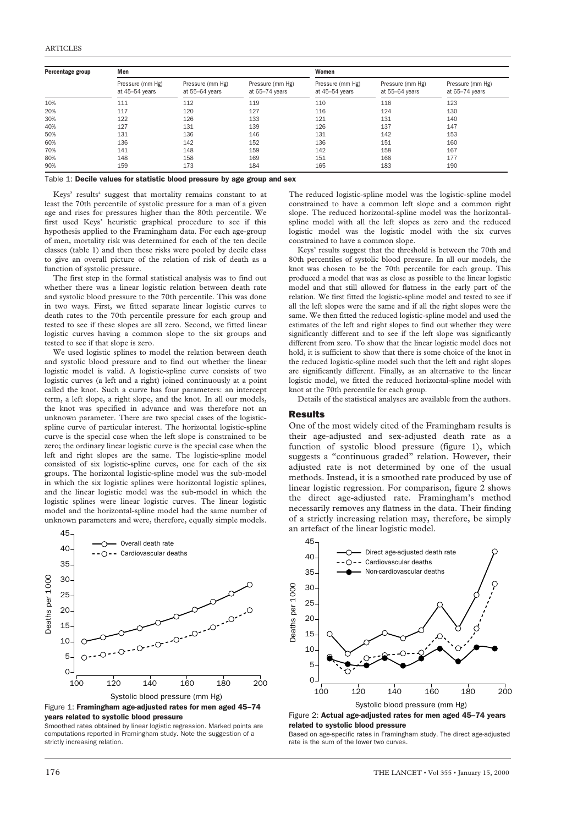| Percentage group | Men                                |                                    |                                    | Women                              |                                    |                                    |
|------------------|------------------------------------|------------------------------------|------------------------------------|------------------------------------|------------------------------------|------------------------------------|
|                  | Pressure (mm Hg)<br>at 45-54 years | Pressure (mm Hg)<br>at 55-64 years | Pressure (mm Hg)<br>at 65-74 years | Pressure (mm Hg)<br>at 45-54 years | Pressure (mm Hg)<br>at 55-64 years | Pressure (mm Hg)<br>at 65-74 years |
| 10%              | 111                                | 112                                | 119                                | 110                                | 116                                | 123                                |
| 20%              | 117                                | 120                                | 127                                | 116                                | 124                                | 130                                |
| 30%              | 122                                | 126                                | 133                                | 121                                | 131                                | 140                                |
| 40%              | 127                                | 131                                | 139                                | 126                                | 137                                | 147                                |
| 50%              | 131                                | 136                                | 146                                | 131                                | 142                                | 153                                |
| 60%              | 136                                | 142                                | 152                                | 136                                | 151                                | 160                                |
| 70%              | 141                                | 148                                | 159                                | 142                                | 158                                | 167                                |
| 80%              | 148                                | 158                                | 169                                | 151                                | 168                                | 177                                |
| 90%              | 159                                | 173                                | 184                                | 165                                | 183                                | 190                                |

Table 1: Decile values for statistic blood pressure by age group and sex

Keys' results<sup>4</sup> suggest that mortality remains constant to at least the 70th percentile of systolic pressure for a man of a given age and rises for pressures higher than the 80th percentile. We first used Keys' heuristic graphical procedure to see if this hypothesis applied to the Framingham data. For each age-group of men, mortality risk was determined for each of the ten decile classes (table 1) and then these risks were pooled by decile class to give an overall picture of the relation of risk of death as a function of systolic pressure.

The first step in the formal statistical analysis was to find out whether there was a linear logistic relation between death rate and systolic blood pressure to the 70th percentile. This was done in two ways. First, we fitted separate linear logistic curves to death rates to the 70th percentile pressure for each group and tested to see if these slopes are all zero. Second, we fitted linear logistic curves having a common slope to the six groups and tested to see if that slope is zero.

We used logistic splines to model the relation between death and systolic blood pressure and to find out whether the linear logistic model is valid. A logistic-spline curve consists of two logistic curves (a left and a right) joined continuously at a point called the knot. Such a curve has four parameters: an intercept term, a left slope, a right slope, and the knot. In all our models, the knot was specified in advance and was therefore not an unknown parameter. There are two special cases of the logisticspline curve of particular interest. The horizontal logistic-spline curve is the special case when the left slope is constrained to be zero; the ordinary linear logistic curve is the special case when the left and right slopes are the same. The logistic-spline model consisted of six logistic-spline curves, one for each of the six groups. The horizontal logistic-spline model was the sub-model in which the six logistic splines were horizontal logistic splines, and the linear logistic model was the sub-model in which the logistic splines were linear logistic curves. The linear logistic model and the horizontal-spline model had the same number of unknown parameters and were, therefore, equally simple models.



Figure 1: Framingham age-adiusted rates for men aged 45-74 years related to systolic blood pressure

Smoothed rates obtained by linear logistic regression. Marked points are computations reported in Framingham study. Note the suggestion of a strictly increasing relation.

The reduced logistic-spline model was the logistic-spline model constrained to have a common left slope and a common right slope. The reduced horizontal-spline model was the horizontalspline model with all the left slopes as zero and the reduced logistic model was the logistic model with the six curves constrained to have a common slope.

Keys' results suggest that the threshold is between the 70th and 80th percentiles of systolic blood pressure. In all our models, the knot was chosen to be the 70th percentile for each group. This produced a model that was as close as possible to the linear logistic model and that still allowed for flatness in the early part of the relation. We first fitted the logistic-spline model and tested to see if all the left slopes were the same and if all the right slopes were the same. We then fitted the reduced logistic-spline model and used the estimates of the left and right slopes to find out whether they were significantly different and to see if the left slope was significantly different from zero. To show that the linear logistic model does not hold, it is sufficient to show that there is some choice of the knot in the reduced logistic-spline model such that the left and right slopes are significantly different. Finally, as an alternative to the linear logistic model, we fitted the reduced horizontal-spline model with knot at the 70th percentile for each group.

Details of the statistical analyses are available from the authors.

### Results

One of the most widely cited of the Framingham results is their age-adjusted and sex-adjusted death rate as a function of systolic blood pressure (figure 1), which suggests a "continuous graded" relation. However, their adjusted rate is not determined by one of the usual methods. Instead, it is a smoothed rate produced by use of linear logistic regression. For comparison, figure 2 shows the direct age-adjusted rate. Framingham's method necessarily removes any flatness in the data. Their finding of a strictly increasing relation may, therefore, be simply an artefact of the linear logistic model.



Figure 2: Actual age-adjusted rates for men aged 45–74 years related to systolic blood pressure

Based on age-specific rates in Framingham study. The direct age-adjusted rate is the sum of the lower two curves.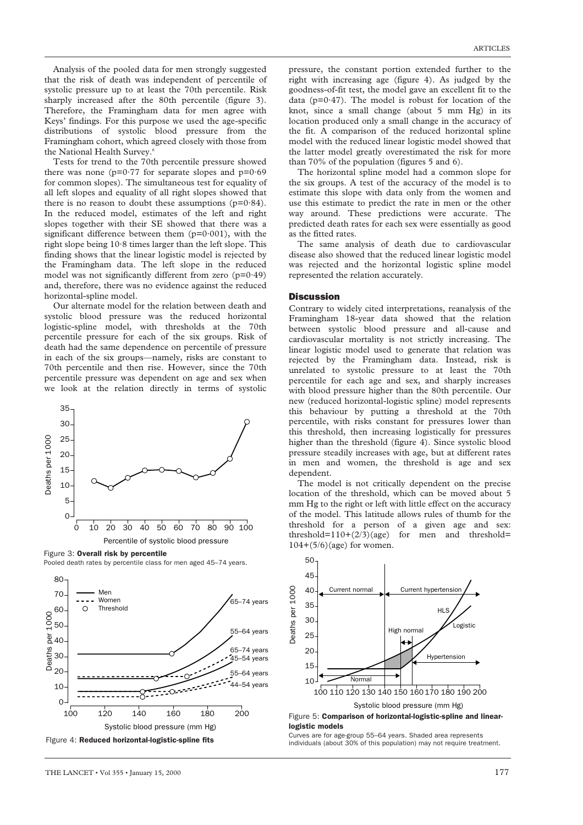Analysis of the pooled data for men strongly suggested that the risk of death was independent of percentile of systolic pressure up to at least the 70th percentile. Risk sharply increased after the 80th percentile (figure 3). Therefore, the Framingham data for men agree with Keys' findings. For this purpose we used the age-specific distributions of systolic blood pressure from the Framingham cohort, which agreed closely with those from the National Health Survey.<sup>6</sup>

Tests for trend to the 70th percentile pressure showed there was none ( $p=0.77$  for separate slopes and  $p=0.69$ for common slopes). The simultaneous test for equality of all left slopes and equality of all right slopes showed that there is no reason to doubt these assumptions  $(p=0.84)$ . In the reduced model, estimates of the left and right slopes together with their SE showed that there was a significant difference between them  $(p=0.001)$ , with the right slope being 10·8 times larger than the left slope. This finding shows that the linear logistic model is rejected by the Framingham data. The left slope in the reduced model was not significantly different from zero  $(p=0.49)$ and, therefore, there was no evidence against the reduced horizontal-spline model.

Our alternate model for the relation between death and systolic blood pressure was the reduced horizontal logistic-spline model, with thresholds at the 70th percentile pressure for each of the six groups. Risk of death had the same dependence on percentile of pressure in each of the six groups—namely, risks are constant to 70th percentile and then rise. However, since the 70th percentile pressure was dependent on age and sex when we look at the relation directly in terms of systolic



Figure 3: Overall risk by percentile Pooled death rates by percentile class for men aged 45–74 years.



pressure, the constant portion extended further to the right with increasing age (figure 4). As judged by the goodness-of-fit test, the model gave an excellent fit to the data ( $p=0.47$ ). The model is robust for location of the knot, since a small change (about 5 mm Hg) in its location produced only a small change in the accuracy of the fit. A comparison of the reduced horizontal spline model with the reduced linear logistic model showed that the latter model greatly overestimated the risk for more than 70% of the population (figures 5 and 6).

The horizontal spline model had a common slope for the six groups. A test of the accuracy of the model is to estimate this slope with data only from the women and use this estimate to predict the rate in men or the other way around. These predictions were accurate. The predicted death rates for each sex were essentially as good as the fitted rates.

The same analysis of death due to cardiovascular disease also showed that the reduced linear logistic model was rejected and the horizontal logistic spline model represented the relation accurately.

### **Discussion**

Contrary to widely cited interpretations, reanalysis of the Framingham 18-year data showed that the relation between systolic blood pressure and all-cause and cardiovascular mortality is not strictly increasing. The linear logistic model used to generate that relation was rejected by the Framingham data. Instead, risk is unrelated to systolic pressure to at least the 70th percentile for each age and sex, and sharply increases with blood pressure higher than the 80th percentile. Our new (reduced horizontal-logistic spline) model represents this behaviour by putting a threshold at the 70th percentile, with risks constant for pressures lower than this threshold, then increasing logistically for pressures higher than the threshold (figure 4). Since systolic blood pressure steadily increases with age, but at different rates in men and women, the threshold is age and sex dependent.

The model is not critically dependent on the precise location of the threshold, which can be moved about 5 mm Hg to the right or left with little effect on the accuracy of the model. This latitude allows rules of thumb for the threshold for a person of a given age and sex: threshold= $110+(2/3)(age)$  for men and threshold=  $104+(5/6)(\text{age})$  for women.



Curves are for age-group 55–64 years. Shaded area represents individuals (about 30% of this population) may not require treatment.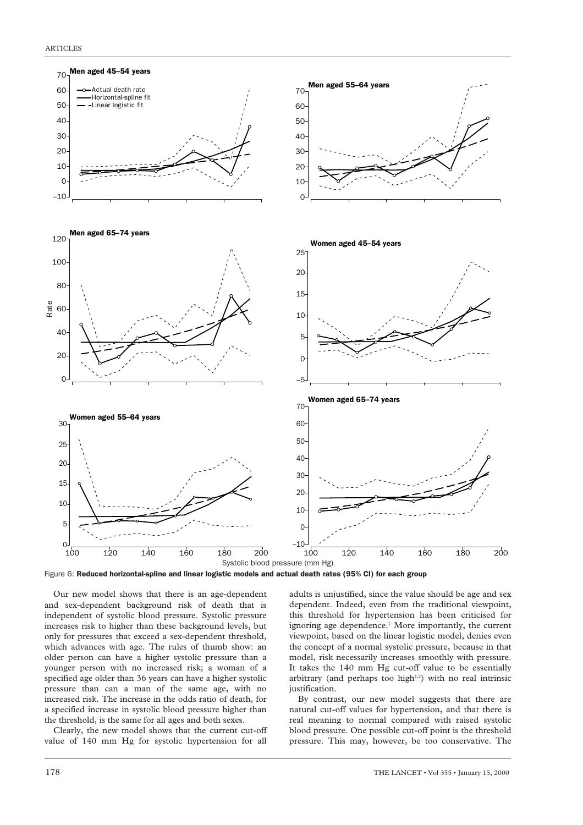



Our new model shows that there is an age-dependent and sex-dependent background risk of death that is independent of systolic blood pressure. Systolic pressure increases risk to higher than these background levels, but only for pressures that exceed a sex-dependent threshold, which advances with age. The rules of thumb show: an older person can have a higher systolic pressure than a younger person with no increased risk; a woman of a specified age older than 36 years can have a higher systolic pressure than can a man of the same age, with no increased risk. The increase in the odds ratio of death, for a specified increase in systolic blood pressure higher than the threshold, is the same for all ages and both sexes.

Clearly, the new model shows that the current cut-off value of 140 mm Hg for systolic hypertension for all

adults is unjustified, since the value should be age and sex dependent. Indeed, even from the traditional viewpoint, this threshold for hypertension has been criticised for ignoring age dependence.<sup>7</sup> More importantly, the current viewpoint, based on the linear logistic model, denies even the concept of a normal systolic pressure, because in that model, risk necessarily increases smoothly with pressure. It takes the 140 mm Hg cut-off value to be essentially arbitrary (and perhaps too high $1,2$ ) with no real intrinsic justification.

By contrast, our new model suggests that there are natural cut-off values for hypertension, and that there is real meaning to normal compared with raised systolic blood pressure. One possible cut-off point is the threshold pressure. This may, however, be too conservative. The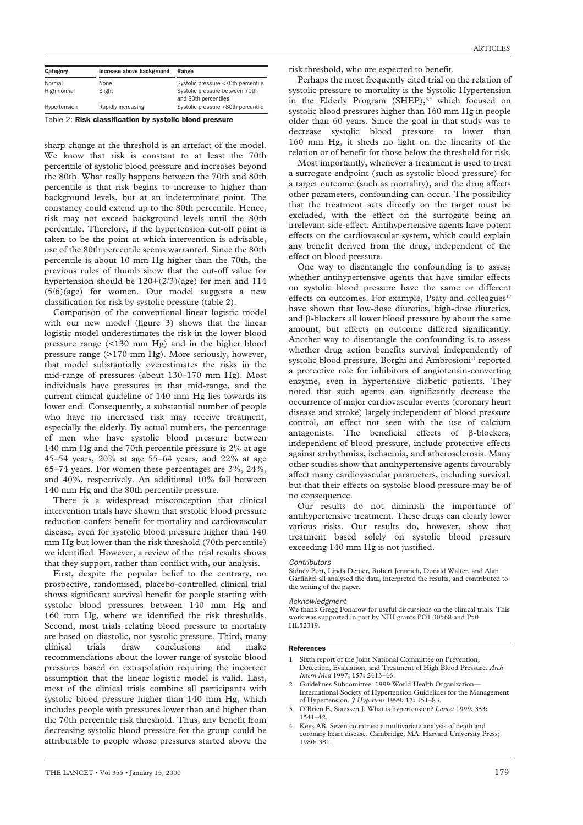| Category     | Increase above background | Range                                                  |
|--------------|---------------------------|--------------------------------------------------------|
| Normal       | None                      | Systolic pressure <70th percentile                     |
| High normal  | Slight                    | Systolic pressure between 70th<br>and 80th percentiles |
| Hypertension | Rapidly increasing        | Systolic pressure <80th percentile                     |

Table 2: Risk classification by systolic blood pressure

sharp change at the threshold is an artefact of the model. We know that risk is constant to at least the 70th percentile of systolic blood pressure and increases beyond the 80th. What really happens between the 70th and 80th percentile is that risk begins to increase to higher than background levels, but at an indeterminate point. The constancy could extend up to the 80th percentile. Hence, risk may not exceed background levels until the 80th percentile. Therefore, if the hypertension cut-off point is taken to be the point at which intervention is advisable, use of the 80th percentile seems warranted. Since the 80th percentile is about 10 mm Hg higher than the 70th, the previous rules of thumb show that the cut-off value for hypertension should be 120+(2/3)(age) for men and 114 (5/6)(age) for women. Our model suggests a new classification for risk by systolic pressure (table 2).

Comparison of the conventional linear logistic model with our new model (figure 3) shows that the linear logistic model underestimates the risk in the lower blood pressure range (<130 mm Hg) and in the higher blood pressure range (>170 mm Hg). More seriously, however, that model substantially overestimates the risks in the mid-range of pressures (about 130–170 mm Hg). Most individuals have pressures in that mid-range, and the current clinical guideline of 140 mm Hg lies towards its lower end. Consequently, a substantial number of people who have no increased risk may receive treatment, especially the elderly. By actual numbers, the percentage of men who have systolic blood pressure between 140 mm Hg and the 70th percentile pressure is 2% at age 45–54 years, 20% at age 55–64 years, and 22% at age 65–74 years. For women these percentages are 3%, 24%, and 40%, respectively. An additional 10% fall between 140 mm Hg and the 80th percentile pressure.

There is a widespread misconception that clinical intervention trials have shown that systolic blood pressure reduction confers benefit for mortality and cardiovascular disease, even for systolic blood pressure higher than 140 mm Hg but lower than the risk threshold (70th percentile) we identified. However, a review of the trial results shows that they support, rather than conflict with, our analysis.

First, despite the popular belief to the contrary, no prospective, randomised, placebo-controlled clinical trial shows significant survival benefit for people starting with systolic blood pressures between 140 mm Hg and 160 mm Hg, where we identified the risk thresholds. Second, most trials relating blood pressure to mortality are based on diastolic, not systolic pressure. Third, many clinical trials draw conclusions and make recommendations about the lower range of systolic blood pressures based on extrapolation requiring the incorrect assumption that the linear logistic model is valid. Last, most of the clinical trials combine all participants with systolic blood pressure higher than 140 mm Hg, which includes people with pressures lower than and higher than the 70th percentile risk threshold. Thus, any benefit from decreasing systolic blood pressure for the group could be attributable to people whose pressures started above the risk threshold, who are expected to benefit.

Perhaps the most frequently cited trial on the relation of systolic pressure to mortality is the Systolic Hypertension in the Elderly Program (SHEP),<sup>8,9</sup> which focused on systolic blood pressures higher than 160 mm Hg in people older than 60 years. Since the goal in that study was to decrease systolic blood pressure to lower than 160 mm Hg, it sheds no light on the linearity of the relation or of benefit for those below the threshold for risk.

Most importantly, whenever a treatment is used to treat a surrogate endpoint (such as systolic blood pressure) for a target outcome (such as mortality), and the drug affects other parameters, confounding can occur. The possibility that the treatment acts directly on the target must be excluded, with the effect on the surrogate being an irrelevant side-effect. Antihypertensive agents have potent effects on the cardiovascular system, which could explain any benefit derived from the drug, independent of the effect on blood pressure.

One way to disentangle the confounding is to assess whether antihypertensive agents that have similar effects on systolic blood pressure have the same or different effects on outcomes. For example, Psaty and colleagues<sup>10</sup> have shown that low-dose diuretics, high-dose diuretics, and  $\beta$ -blockers all lower blood pressure by about the same amount, but effects on outcome differed significantly. Another way to disentangle the confounding is to assess whether drug action benefits survival independently of systolic blood pressure. Borghi and Ambrosioni<sup>11</sup> reported a protective role for inhibitors of angiotensin-converting enzyme, even in hypertensive diabetic patients. They noted that such agents can significantly decrease the occurrence of major cardiovascular events (coronary heart disease and stroke) largely independent of blood pressure control, an effect not seen with the use of calcium antagonists. The beneficial effects of  $\beta$ -blockers, independent of blood pressure, include protective effects against arrhythmias, ischaemia, and atherosclerosis. Many other studies show that antihypertensive agents favourably affect many cardiovascular parameters, including survival, but that their effects on systolic blood pressure may be of no consequence.

Our results do not diminish the importance of antihypertensive treatment. These drugs can clearly lower various risks. Our results do, however, show that treatment based solely on systolic blood pressure exceeding 140 mm Hg is not justified.

#### *Contributors*

Sidney Port, Linda Demer, Robert Jennrich, Donald Walter, and Alan Garfinkel all analysed the data, interpreted the results, and contributed to the writing of the paper.

#### *Acknowledgment*

We thank Gregg Fonarow for useful discussions on the clinical trials. This work was supported in part by NIH grants PO1 30568 and P50 HL52319.

#### References

- Sixth report of the Joint National Committee on Prevention, Detection, Evaluation, and Treatment of High Blood Pressure. *Arch Intern Med* 1997; **157:** 2413–46.
- 2 Guidelines Subcomittee. 1999 World Health Organization— International Society of Hypertension Guidelines for the Management of Hypertension. *J Hypertens* 1999; **17:** 151–83.
- 3 O'Brien E, Staessen J. What is hypertension? *Lancet* 1999; **353:** 1541–42.
- 4 Keys AB. Seven countries: a multivariate analysis of death and coronary heart disease. Cambridge, MA: Harvard University Press; 1980: 381.